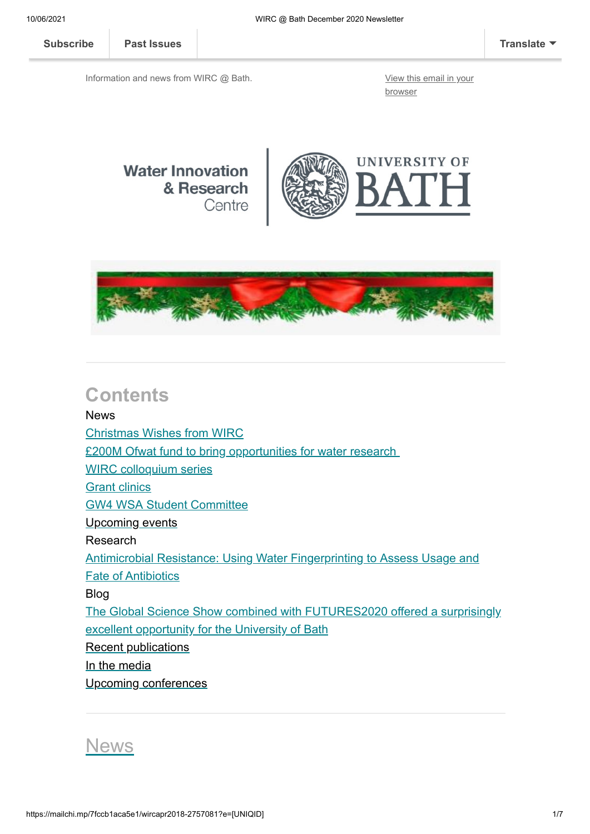**[Subscribe](http://eepurl.com/bKjQGL) [Past Issues](https://us12.campaign-archive.com/home/?u=d7614ea34eb388bb6f0caa07a&id=d688d5b543) [Translate](javascript:;)**

Information and news from WIRC @ Bath. [View this email in your](https://mailchi.mp/7fccb1aca5e1/wircapr2018-2757081?e=[UNIQID])

browser







### **Contents**

### News [Christmas Wishes from WIRC](#page-1-0) [£200M Ofwat fund to bring opportunities for water research](#page-1-1) [WIRC colloquium series](#page-2-0) **[Grant clinics](#page-2-1)** [GW4 WSA Student Committee](#page-3-0) [Upcoming events](#page-4-0) Research [Antimicrobial Resistance: Using Water Fingerprinting to Assess Usage and](#page-3-1) Fate of Antibiotics Blog [The Global Science Show combined with FUTURES2020 offered a surprisingly](#page-4-1) excellent opportunity for the University of Bath [Recent publications](#page-4-2) [In the media](#page-5-0) [Upcoming conferences](#page-5-1)

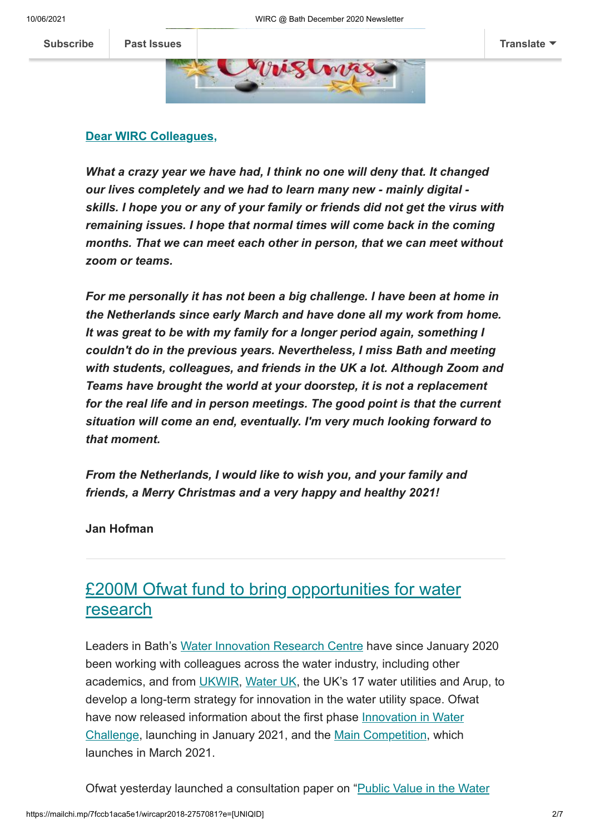

#### <span id="page-1-0"></span>**Dear WIRC Colleagues,**

*What a crazy year we have had, I think no one will deny that. It changed our lives completely and we had to learn many new - mainly digital skills. I hope you or any of your family or friends did not get the virus with remaining issues. I hope that normal times will come back in the coming months. That we can meet each other in person, that we can meet without zoom or teams.*

*For me personally it has not been a big challenge. I have been at home in the Netherlands since early March and have done all my work from home. It was great to be with my family for a longer period again, something I couldn't do in the previous years. Nevertheless, I miss Bath and meeting with students, colleagues, and friends in the UK a lot. Although Zoom and Teams have brought the world at your doorstep, it is not a replacement for the real life and in person meetings. The good point is that the current situation will come an end, eventually. I'm very much looking forward to that moment.*

*From the Netherlands, I would like to wish you, and your family and friends, a Merry Christmas and a very happy and healthy 2021!*

**Jan Hofman**

### <span id="page-1-1"></span>£200M Ofwat fund to bring opportunities for water research

Leaders in Bath's [Water Innovation Research Centre](https://www.bath.ac.uk/research-centres/water-innovation-and-research-centre-wirc-bath/) have since January 2020 been working with colleagues across the water industry, including other academics, and from [UKWIR](https://ukwir.org/leading-the-water-industry-research-agenda), [Water UK](https://www.water.org.uk/), the UK's 17 water utilities and Arup, to develop a long-term strategy for innovation in the water utility space. Ofwat [have now released information about the first phase Innovation in Water](https://eur01.safelinks.protection.outlook.com/?url=https%3A%2F%2Fwww.ofwat.gov.uk%2Fregulated-companies%2Finnovation-in-the-water-sector%2Fwater-innovation-competitions%2Finnovation-in-water-challenge-iwc%2F&data=04%7C01%7Cses64%40bath.ac.uk%7Cf6862a7b6fa04f7731ed08d8a28d55f9%7C377e3d224ea1422db0ad8fcc89406b9e%7C0%7C0%7C637438075205168250%7CUnknown%7CTWFpbGZsb3d8eyJWIjoiMC4wLjAwMDAiLCJQIjoiV2luMzIiLCJBTiI6Ik1haWwiLCJXVCI6Mn0%3D%7C1000&sdata=oc4zN7oeJPdNF1l1QJTXNbpEclSh8NCp%2FFC93sSPm0A%3D&reserved=0) Challenge, launching in January 2021, and the [Main Competition](https://eur01.safelinks.protection.outlook.com/?url=https%3A%2F%2Fwww.ofwat.gov.uk%2Fregulated-companies%2Finnovation-in-the-water-sector%2Fwater-innovation-competitions%2Fmain-competition%2F&data=04%7C01%7Cses64%40bath.ac.uk%7Cf6862a7b6fa04f7731ed08d8a28d55f9%7C377e3d224ea1422db0ad8fcc89406b9e%7C0%7C0%7C637438075205178247%7CUnknown%7CTWFpbGZsb3d8eyJWIjoiMC4wLjAwMDAiLCJQIjoiV2luMzIiLCJBTiI6Ik1haWwiLCJXVCI6Mn0%3D%7C1000&sdata=uwhRcjeDdogpm%2BdagU4VuaJc7CmzTfUt8Ezrl3T9%2FJQ%3D&reserved=0), which launches in March 2021.

[Ofwat yesterday launched a consultation paper on "Public Value in the Water](https://eur01.safelinks.protection.outlook.com/?url=https%3A%2F%2Fwww.ofwat.gov.uk%2Fconsultation%2Fa-discussion-paper-on-public-value-in-the-water-sector%2F&data=04%7C01%7Cses64%40bath.ac.uk%7Cf6862a7b6fa04f7731ed08d8a28d55f9%7C377e3d224ea1422db0ad8fcc89406b9e%7C0%7C0%7C637438075205178247%7CUnknown%7CTWFpbGZsb3d8eyJWIjoiMC4wLjAwMDAiLCJQIjoiV2luMzIiLCJBTiI6Ik1haWwiLCJXVCI6Mn0%3D%7C1000&sdata=zQF3Q8ZaK5iMJYDcdPGQg3eVPRGP8gisPw9%2Fc4opNd8%3D&reserved=0)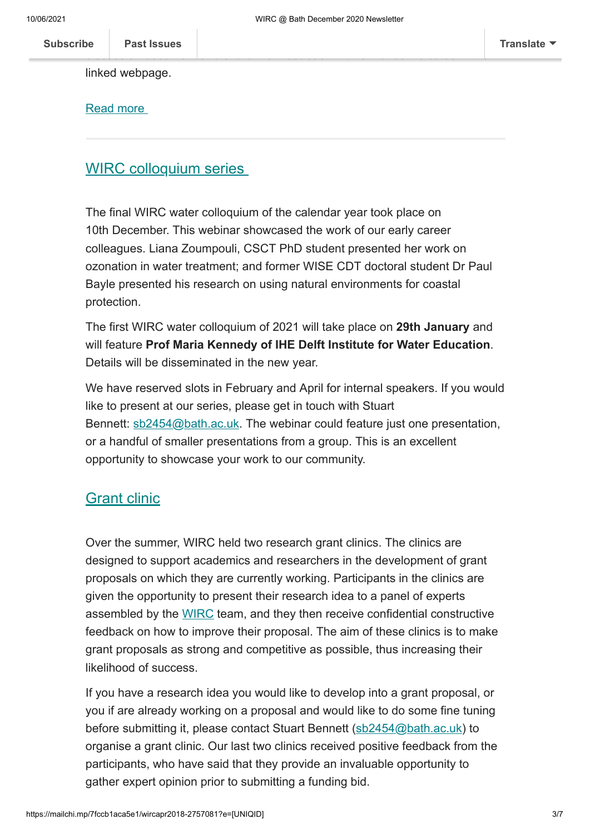discussion document and share their feedback with Ofwat as indicated in the linked webpage.

[Read more](https://www.bath.ac.uk/announcements/200m-ofwat-fund-to-bring-opportunities-for-water-research/)

#### <span id="page-2-0"></span>WIRC colloquium series

The final WIRC water colloquium of the calendar year took place on 10th December. This webinar showcased the work of our early career colleagues. Liana Zoumpouli, CSCT PhD student presented her work on ozonation in water treatment; and former WISE CDT doctoral student Dr Paul Bayle presented his research on using natural environments for coastal protection.

The first WIRC water colloquium of 2021 will take place on **29th January** and will feature **Prof Maria Kennedy of IHE Delft Institute for Water Education**. Details will be disseminated in the new year.

We have reserved slots in February and April for internal speakers. If you would like to present at our series, please get in touch with Stuart Bennett: [sb2454@bath.ac.uk](mailto:sb2454@bath.ac.uk). The webinar could feature just one presentation, or a handful of smaller presentations from a group. This is an excellent opportunity to showcase your work to our community.

#### <span id="page-2-1"></span>**Grant clinic**

Over the summer, WIRC held two research grant clinics. The clinics are designed to support academics and researchers in the development of grant proposals on which they are currently working. Participants in the clinics are given the opportunity to present their research idea to a panel of experts assembled by the [WIRC](https://www.bath.ac.uk/research-centres/water-innovation-and-research-centre-wirc-bath/) team, and they then receive confidential constructive feedback on how to improve their proposal. The aim of these clinics is to make grant proposals as strong and competitive as possible, thus increasing their likelihood of success.

If you have a research idea you would like to develop into a grant proposal, or you if are already working on a proposal and would like to do some fine tuning before submitting it, please contact Stuart Bennett [\(sb2454@bath.ac.uk](mailto:sb2454@bath.ac.uk)) to organise a grant clinic. Our last two clinics received positive feedback from the participants, who have said that they provide an invaluable opportunity to gather expert opinion prior to submitting a funding bid.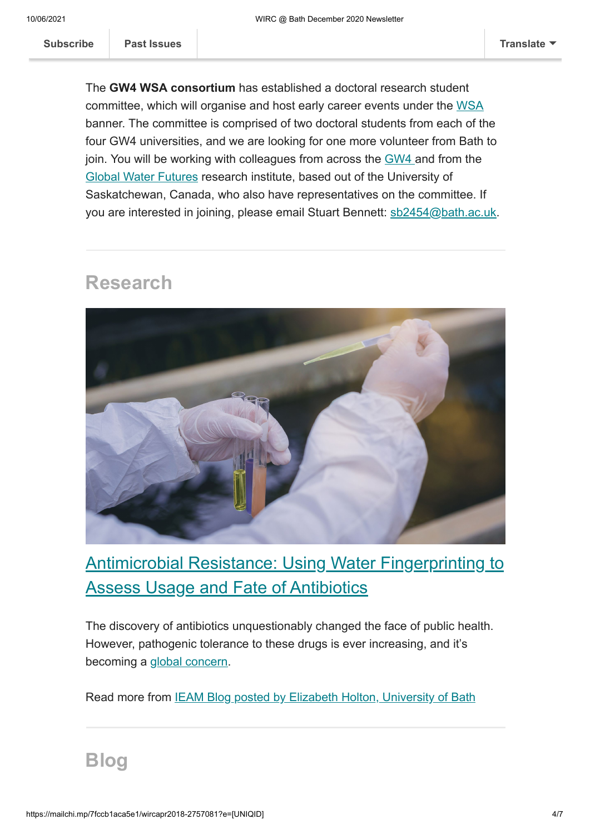<span id="page-3-0"></span>The **GW4 WSA consortium** has established a doctoral research student committee, which will organise and host early career events under the [WSA](https://gw4water.com/) banner. The committee is comprised of two doctoral students from each of the four GW4 universities, and we are looking for one more volunteer from Bath to join. You will be working with colleagues from across the [GW4 a](https://gw4.ac.uk/)nd from the [Global Water Futures](https://gwf.usask.ca/) research institute, based out of the University of Saskatchewan, Canada, who also have representatives on the committee. If you are interested in joining, please email Stuart Bennett: [sb2454@bath.ac.uk](mailto:sb2454@bath.ac.uk).

## **Research**



# <span id="page-3-1"></span>Antimicrobial Resistance: Using Water Fingerprinting to Assess Usage and Fate of Antibiotics

The discovery of antibiotics unquestionably changed the face of public health. However, pathogenic tolerance to these drugs is ever increasing, and it's becoming a [global concern.](https://www.who.int/news-room/detail/17-01-2020-lack-of-new-antibiotics-threatens-global-efforts-to-contain-drug-resistant-infections)

Read more from **[IEAM Blog posted by Elizabeth Holton, University of Bath](https://ieamblog.com/2020/11/19/antimicrobial-resistance-using-water-fingerprinting-to-assess-usage-and-fate-of-antibiotics/#comments)** 

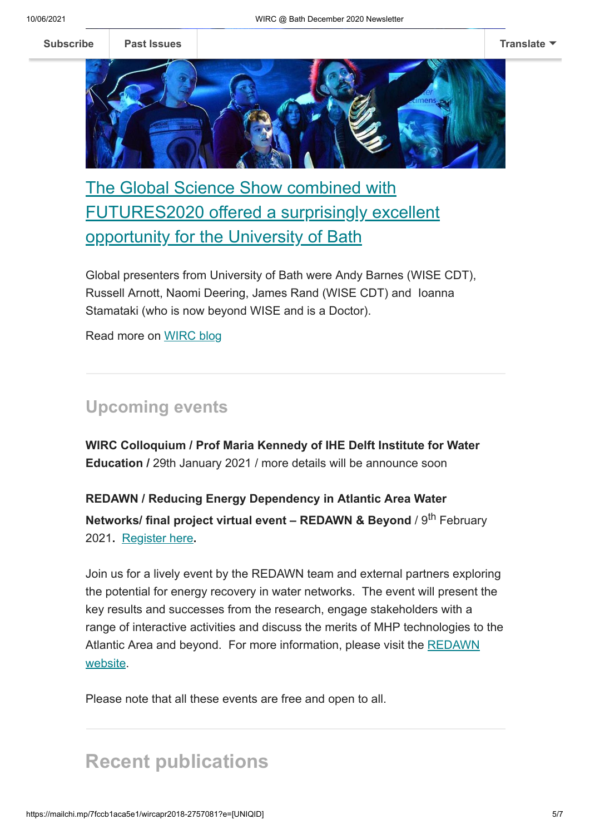

<span id="page-4-1"></span>The Global Science Show combined with FUTURES2020 offered a surprisingly excellent opportunity for the University of Bath

Global presenters from University of Bath were Andy Barnes (WISE CDT), Russell Arnott, Naomi Deering, James Rand (WISE CDT) and Ioanna Stamataki (who is now beyond WISE and is a Doctor).

Read more on [WIRC](https://blogs.bath.ac.uk/water/2020/12/04/the-global-science-show-saturday-28-november-2020/) blog

#### <span id="page-4-0"></span>**Upcoming events**

**WIRC Colloquium / Prof Maria Kennedy of IHE Delft Institute for Water Education /** 29th January 2021 / more details will be announce soon

**REDAWN / Reducing Energy Dependency in Atlantic Area Water Networks/ final project virtual event – REDAWN & Beyond / 9<sup>th</sup> February** 2021**.** [Register here](https://eur01.safelinks.protection.outlook.com/?url=https%3A%2F%2Fwww.eventbrite.co.uk%2Fe%2Fredawn-final-event-redawn-beyond-registration-130667378647&data=04%7C01%7Cses64%40bath.ac.uk%7Cbf0f3083615b4bbe1a3e08d898449f79%7C377e3d224ea1422db0ad8fcc89406b9e%7C0%7C0%7C637426767794749589%7CUnknown%7CTWFpbGZsb3d8eyJWIjoiMC4wLjAwMDAiLCJQIjoiV2luMzIiLCJBTiI6Ik1haWwiLCJXVCI6Mn0%3D%7C1000&sdata=vWF6lUnpsymJsC7NjWYt%2B8iGRi0pH7faN%2FNAG1wcx3Q%3D&reserved=0)**.**

Join us for a lively event by the REDAWN team and external partners exploring the potential for energy recovery in water networks. The event will present the key results and successes from the research, engage stakeholders with a range of interactive activities and discuss the merits of MHP technologies to the [Atlantic Area and beyond. For more information, please visit the REDAWN](https://eur01.safelinks.protection.outlook.com/?url=https%3A%2F%2Fwww.redawn.eu%2Fredawn-and-beyond&data=04%7C01%7Cses64%40bath.ac.uk%7Cbf0f3083615b4bbe1a3e08d898449f79%7C377e3d224ea1422db0ad8fcc89406b9e%7C0%7C0%7C637426767794749589%7CUnknown%7CTWFpbGZsb3d8eyJWIjoiMC4wLjAwMDAiLCJQIjoiV2luMzIiLCJBTiI6Ik1haWwiLCJXVCI6Mn0%3D%7C1000&sdata=fWfk6Es9u48UFOZU8F9cq5%2FTcKCk2m4RiJ7Lk0g8E%2Fg%3D&reserved=0) website.

Please note that all these events are free and open to all.

## <span id="page-4-2"></span>**Recent publications**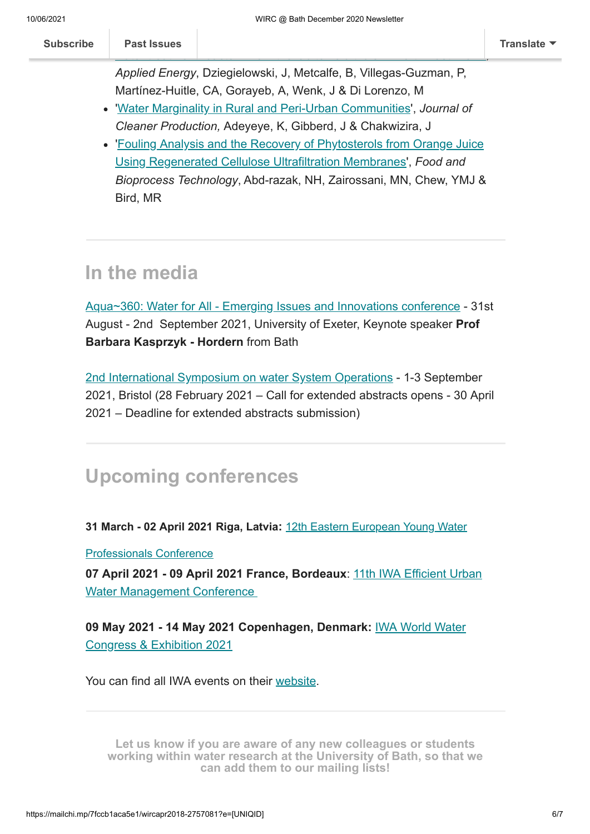Martínez-Huitle, CA, Gorayeb, A, Wenk, J & Di Lorenzo, M '[Water Marginality in Rural and Peri-Urban Communities](https://www.sciencedirect.com/science/article/abs/pii/S095965262032641X?via%3Dihub)', *Journal of*

- *Cleaner Production,* Adeyeye, K, Gibberd, J & Chakwizira, J
- ['Fouling Analysis and the Recovery of Phytosterols from Orange Juice](https://link.springer.com/article/10.1007/s11947-020-02541-7) Using Regenerated Cellulose Ultrafiltration Membranes', *Food and Bioprocess Technology*, Abd-razak, NH, Zairossani, MN, Chew, YMJ & Bird, MR

# <span id="page-5-0"></span>**In the media**

[Aqua~360: Water for All - Emerging Issues and Innovations conference](https://www.aqua360.net/) - 31st August - 2nd September 2021, University of Exeter, Keynote speaker **Prof Barbara Kasprzyk - Hordern** from Bath

[2nd International Symposium on water System Operations](http://iswso2020.info/) - 1-3 September 2021, Bristol (28 February 2021 – Call for extended abstracts opens - 30 April 2021 – Deadline for extended abstracts submission)

# <span id="page-5-1"></span>**Upcoming conferences**

**[31 March - 02 April 2021 Riga, Latvia](https://iwa-network.org/events/12th-eastern-european-young-water-professionals-conference-water-for-all-water-for-nature-reliable-water-supply-wastewater-treatment/):** 12th Eastern European Young Water

Professionals Conference

**[07 April 2021 - 09 April 2021 France, Bordeaux](https://iwa-network.org/events/11th-iwa-efficient-urban-water-management-conference/)**: 11th IWA Efficient Urban Water Management Conference

**09 May 2021 - 14 May 2021 Copenhagen, Denmark:** IWA World Water [Congress & Exhibition 2021](https://iwa-network.org/events/iwa-world-water-congress-exhibition-2021-copenhagen/)

You can find all IWA events on their [website](http://www.iwa-network.org/all-events/).

**Let us know if you are aware of any new colleagues or students [working within water research at the University of Bath, so that we](mailto:wirc-enquiries@bath.ac.uk?subject=New%20WIRC%20contact) can add them to our mailing lists!**